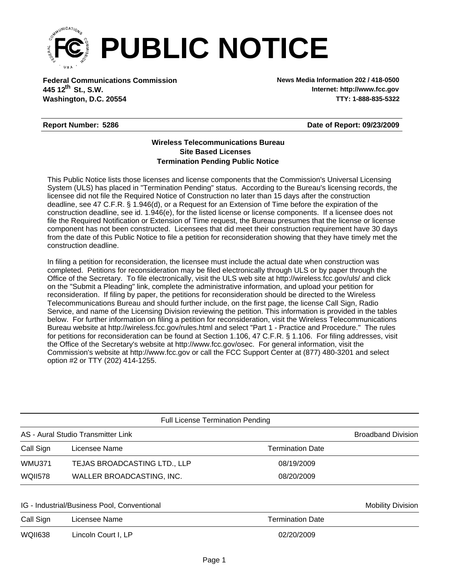

**Federal Communications Commission News Media Information 202 / 418-0500 Washington, D.C. 20554 TTY: 1-888-835-5322 445 12<sup>th</sup> St., S.W.** 

**Internet: http://www.fcc.gov**

## **Report Number: 5286**

**Date of Report: 09/23/2009**

## **Wireless Telecommunications Bureau Site Based Licenses Termination Pending Public Notice**

This Public Notice lists those licenses and license components that the Commission's Universal Licensing System (ULS) has placed in "Termination Pending" status. According to the Bureau's licensing records, the licensee did not file the Required Notice of Construction no later than 15 days after the construction deadline, see 47 C.F.R. § 1.946(d), or a Request for an Extension of Time before the expiration of the construction deadline, see id. 1.946(e), for the listed license or license components. If a licensee does not file the Required Notification or Extension of Time request, the Bureau presumes that the license or license component has not been constructed. Licensees that did meet their construction requirement have 30 days from the date of this Public Notice to file a petition for reconsideration showing that they have timely met the construction deadline.

In filing a petition for reconsideration, the licensee must include the actual date when construction was completed. Petitions for reconsideration may be filed electronically through ULS or by paper through the Office of the Secretary. To file electronically, visit the ULS web site at http://wireless.fcc.gov/uls/ and click on the "Submit a Pleading" link, complete the administrative information, and upload your petition for reconsideration. If filing by paper, the petitions for reconsideration should be directed to the Wireless Telecommunications Bureau and should further include, on the first page, the license Call Sign, Radio Service, and name of the Licensing Division reviewing the petition. This information is provided in the tables below. For further information on filing a petition for reconsideration, visit the Wireless Telecommunications Bureau website at http://wireless.fcc.gov/rules.html and select "Part 1 - Practice and Procedure." The rules for petitions for reconsideration can be found at Section 1.106, 47 C.F.R. § 1.106. For filing addresses, visit the Office of the Secretary's website at http://www.fcc.gov/osec. For general information, visit the Commission's website at http://www.fcc.gov or call the FCC Support Center at (877) 480-3201 and select option #2 or TTY (202) 414-1255.

| <b>Broadband Division</b> |
|---------------------------|
| <b>Termination Date</b>   |
| 08/19/2009                |
| 08/20/2009                |
|                           |

## IG - Industrial/Business Pool, Conventional Mobility Division Number 2012 10:00 000 Mobility Division

| Call Sign | Licensee Name       | <b>Termination Date</b> |
|-----------|---------------------|-------------------------|
| WQII638   | Lincoln Court I, LP | 02/20/2009              |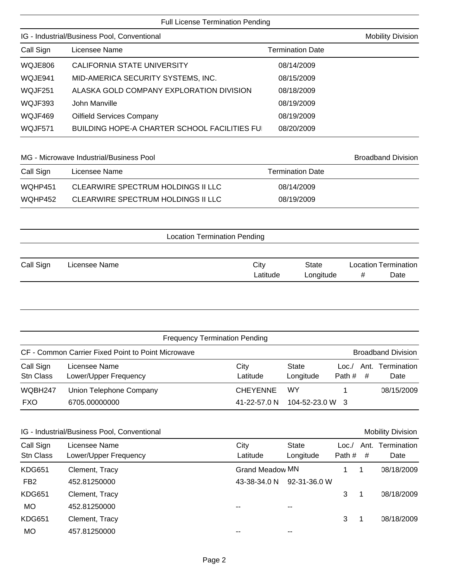| Page 2 |  |
|--------|--|

| <b>Full License Termination Pending</b>     |                                          |                         |  |  |  |  |
|---------------------------------------------|------------------------------------------|-------------------------|--|--|--|--|
| IG - Industrial/Business Pool, Conventional | <b>Mobility Division</b>                 |                         |  |  |  |  |
| Call Sign                                   | Licensee Name                            | <b>Termination Date</b> |  |  |  |  |
| WQJE806                                     | CALIFORNIA STATE UNIVERSITY              | 08/14/2009              |  |  |  |  |
| WQJE941                                     | MID-AMERICA SECURITY SYSTEMS, INC.       | 08/15/2009              |  |  |  |  |
| WQJF251                                     | ALASKA GOLD COMPANY EXPLORATION DIVISION | 08/18/2009              |  |  |  |  |

| WQJF393 | John Manville                                | 08/19/2009 |
|---------|----------------------------------------------|------------|
| WQJF469 | Oilfield Services Company                    | 08/19/2009 |
| WQJF571 | BUILDING HOPE-A CHARTER SCHOOL FACILITIES FU | 08/20/2009 |

MG - Microwave Industrial/Business Pool and Broadband Division

| Call Sign | Licensee Name                      | <b>Termination Date</b> |
|-----------|------------------------------------|-------------------------|
| WQHP451   | CLEARWIRE SPECTRUM HOLDINGS II LLC | 08/14/2009              |
| WQHP452   | CLEARWIRE SPECTRUM HOLDINGS II LLC | 08/19/2009              |

| <b>Location Termination Pending</b> |
|-------------------------------------|
|-------------------------------------|

| Call Sign | Licensee Name | City     | State     | <b>Location Termination</b> |      |
|-----------|---------------|----------|-----------|-----------------------------|------|
|           |               | -atitude | Longitude |                             | Date |

|                        | <b>Frequency Termination Pending</b>               |                  |                               |                 |   |                           |
|------------------------|----------------------------------------------------|------------------|-------------------------------|-----------------|---|---------------------------|
|                        | CF - Common Carrier Fixed Point to Point Microwave |                  |                               |                 |   | <b>Broadband Division</b> |
| Call Sign<br>Stn Class | Licensee Name<br>Lower/Upper Frequency             | City<br>Latitude | State<br>Longitude            | Loc./<br>Path # | # | Ant. Termination<br>Date  |
| WQBH247                | Union Telephone Company                            | <b>CHEYENNE</b>  | WY                            |                 |   | 08/15/2009                |
| <b>FXO</b>             | 6705.00000000                                      | 41-22-57.0 N     | $104 - 52 - 23.0 \text{ W}$ 3 |                 |   |                           |

| IG - Industrial/Business Pool, Conventional |                                        |                        |                    |                | <b>Mobility Division</b> |                     |
|---------------------------------------------|----------------------------------------|------------------------|--------------------|----------------|--------------------------|---------------------|
| Call Sign<br><b>Stn Class</b>               | Licensee Name<br>Lower/Upper Frequency | City<br>Latitude       | State<br>Longitude | Loc.<br>Path # | Ant.<br>#                | Termination<br>Date |
| <b>KDG651</b>                               | Clement, Tracy                         | <b>Grand Meadow MN</b> |                    |                |                          | 08/18/2009          |
| FB <sub>2</sub>                             | 452.81250000                           | 43-38-34.0 N           | 92-31-36.0 W       |                |                          |                     |
| <b>KDG651</b>                               | Clement, Tracy                         |                        |                    | 3              |                          | 08/18/2009          |
| <b>MO</b>                                   | 452.81250000                           |                        | $- -$              |                |                          |                     |
| <b>KDG651</b>                               | Clement, Tracy                         |                        |                    | 3              |                          | 08/18/2009          |
| MO                                          | 457.81250000                           |                        |                    |                |                          |                     |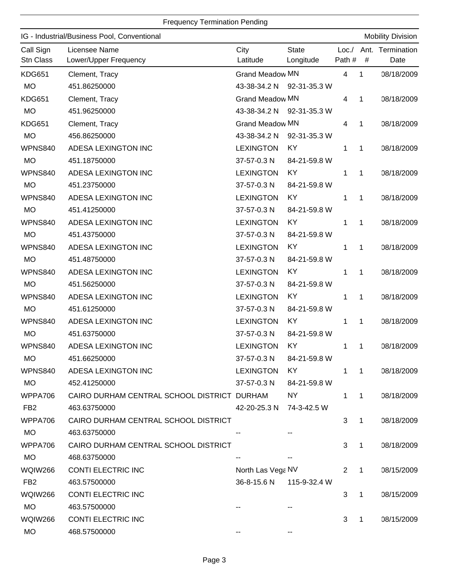|                 | IG - Industrial/Business Pool, Conventional |                           |              |                |              | <b>Mobility Division</b> |
|-----------------|---------------------------------------------|---------------------------|--------------|----------------|--------------|--------------------------|
| Call Sign       | Licensee Name                               | City                      | <b>State</b> | Loc./          |              | Ant. Termination         |
| Stn Class       | Lower/Upper Frequency                       | Latitude                  | Longitude    | Path #         | #            | Date                     |
| <b>KDG651</b>   | Clement, Tracy                              | <b>Grand Meadow MN</b>    |              | $\overline{4}$ | 1            | 08/18/2009               |
| <b>MO</b>       | 451.86250000                                | 43-38-34.2 N 92-31-35.3 W |              |                |              |                          |
| <b>KDG651</b>   | Clement, Tracy                              | <b>Grand Meadow MN</b>    |              | 4              | 1            | 08/18/2009               |
| <b>MO</b>       | 451.96250000                                | 43-38-34.2 N 92-31-35.3 W |              |                |              |                          |
| <b>KDG651</b>   | Clement, Tracy                              | <b>Grand Meadow MN</b>    |              | 4              | 1            | 08/18/2009               |
| <b>MO</b>       | 456.86250000                                | 43-38-34.2 N              | 92-31-35.3 W |                |              |                          |
| <b>WPNS840</b>  | ADESA LEXINGTON INC                         | <b>LEXINGTON</b>          | KY           | $\mathbf 1$    | 1            | 08/18/2009               |
| <b>MO</b>       | 451.18750000                                | 37-57-0.3 N               | 84-21-59.8 W |                |              |                          |
| <b>WPNS840</b>  | ADESA LEXINGTON INC                         | <b>LEXINGTON</b>          | <b>KY</b>    | 1              | 1            | 08/18/2009               |
| <b>MO</b>       | 451.23750000                                | 37-57-0.3 N               | 84-21-59.8 W |                |              |                          |
| <b>WPNS840</b>  | ADESA LEXINGTON INC                         | <b>LEXINGTON</b>          | <b>KY</b>    | 1              | 1            | 08/18/2009               |
| <b>MO</b>       | 451.41250000                                | 37-57-0.3 N               | 84-21-59.8 W |                |              |                          |
| <b>WPNS840</b>  | ADESA LEXINGTON INC                         | <b>LEXINGTON</b>          | KY           | 1              | 1            | 08/18/2009               |
| <b>MO</b>       | 451.43750000                                | 37-57-0.3 N               | 84-21-59.8 W |                |              |                          |
| <b>WPNS840</b>  | ADESA LEXINGTON INC                         | <b>LEXINGTON</b>          | KY           | 1              | 1            | 08/18/2009               |
| <b>MO</b>       | 451.48750000                                | 37-57-0.3 N               | 84-21-59.8 W |                |              |                          |
| <b>WPNS840</b>  | ADESA LEXINGTON INC                         | <b>LEXINGTON</b>          | <b>KY</b>    | 1              | 1            | 08/18/2009               |
| <b>MO</b>       | 451.56250000                                | 37-57-0.3 N               | 84-21-59.8 W |                |              |                          |
| <b>WPNS840</b>  | ADESA LEXINGTON INC                         | <b>LEXINGTON</b>          | KY           | 1              | 1            | 08/18/2009               |
| <b>MO</b>       | 451.61250000                                | 37-57-0.3 N               | 84-21-59.8 W |                |              |                          |
| <b>WPNS840</b>  | ADESA LEXINGTON INC                         | <b>LEXINGTON</b>          | <b>KY</b>    | 1              | 1            | 08/18/2009               |
| <b>MO</b>       | 451.63750000                                | 37-57-0.3 N               | 84-21-59.8 W |                |              |                          |
| <b>WPNS840</b>  | ADESA LEXINGTON INC                         | <b>LEXINGTON</b>          | KY           | 1              | 1            | 08/18/2009               |
| <b>MO</b>       | 451.66250000                                | 37-57-0.3 N               | 84-21-59.8 W |                |              |                          |
| <b>WPNS840</b>  | ADESA LEXINGTON INC                         | <b>LEXINGTON</b>          | KY.          | 1              | $\mathbf{1}$ | 08/18/2009               |
| <b>MO</b>       | 452.41250000                                | 37-57-0.3 N               | 84-21-59.8 W |                |              |                          |
| WPPA706         | CAIRO DURHAM CENTRAL SCHOOL DISTRICT DURHAM |                           | <b>NY</b>    | 1              | 1            | 08/18/2009               |
| FB <sub>2</sub> | 463.63750000                                | 42-20-25.3 N              | 74-3-42.5 W  |                |              |                          |
| WPPA706         | CAIRO DURHAM CENTRAL SCHOOL DISTRICT        |                           |              | 3              | $\mathbf{1}$ | 08/18/2009               |
| <b>MO</b>       | 463.63750000                                |                           |              |                |              |                          |
| WPPA706         | CAIRO DURHAM CENTRAL SCHOOL DISTRICT        |                           |              | 3              | $\mathbf{1}$ | 08/18/2009               |
| <b>MO</b>       | 468.63750000                                |                           |              |                |              |                          |
| <b>WQIW266</b>  | <b>CONTI ELECTRIC INC</b>                   | North Las Vega NV         |              | $\mathbf{2}$   | 1            | 08/15/2009               |
| FB <sub>2</sub> | 463.57500000                                | 36-8-15.6 N               | 115-9-32.4 W |                |              |                          |
| <b>WQIW266</b>  | <b>CONTI ELECTRIC INC</b>                   |                           |              | 3              | $\mathbf{1}$ | 08/15/2009               |
| <b>MO</b>       | 463.57500000                                |                           |              |                |              |                          |
| <b>WQIW266</b>  | <b>CONTI ELECTRIC INC</b>                   |                           |              | 3              | $\mathbf{1}$ | 08/15/2009               |
| <b>MO</b>       | 468.57500000                                |                           |              |                |              |                          |
|                 |                                             |                           |              |                |              |                          |